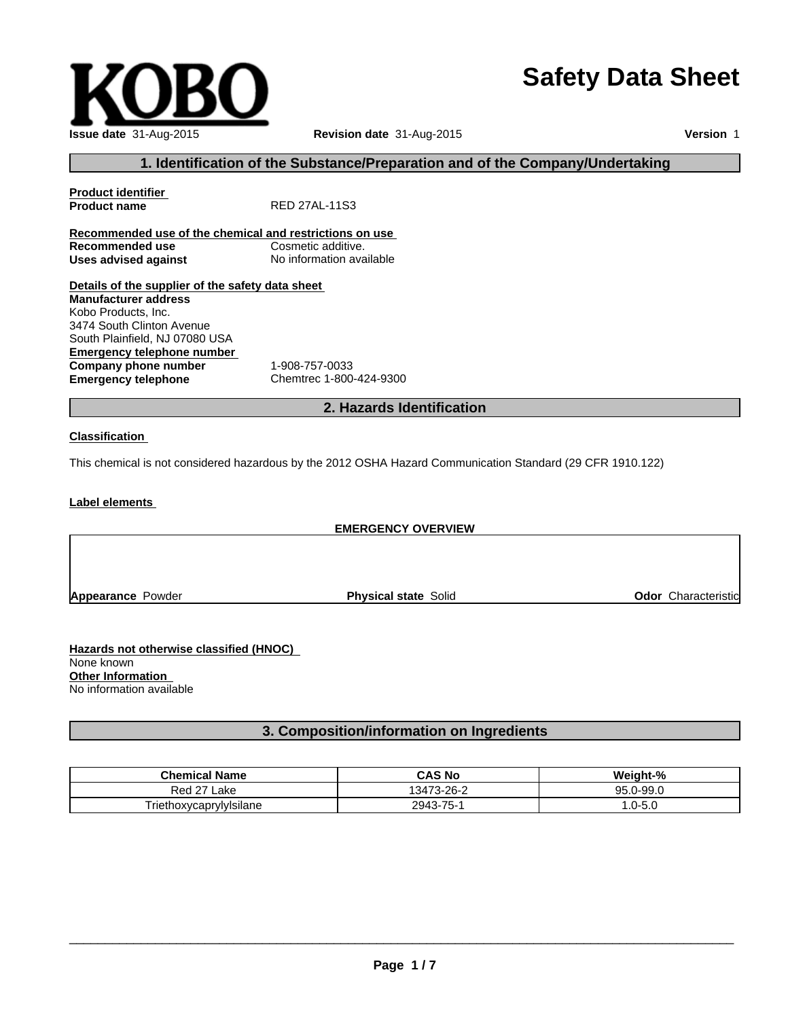# **Safety Data Sheet**

| Issue date 31-Aug-2015 |
|------------------------|

**Issue date** 31-Aug-2015 **Revision date** 31-Aug-2015

**Version** 1

## **1. Identification of the Substance/Preparation and of the Company/Undertaking**

| <b>Product identifier</b>                               |                                                                                                            |
|---------------------------------------------------------|------------------------------------------------------------------------------------------------------------|
| <b>Product name</b>                                     | RED 27AL-11S3                                                                                              |
| Recommended use of the chemical and restrictions on use |                                                                                                            |
| Recommended use                                         | Cosmetic additive.                                                                                         |
| <b>Uses advised against</b>                             | No information available                                                                                   |
| Details of the supplier of the safety data sheet        |                                                                                                            |
| <b>Manufacturer address</b>                             |                                                                                                            |
| Kobo Products, Inc.                                     |                                                                                                            |
| 3474 South Clinton Avenue                               |                                                                                                            |
| South Plainfield, NJ 07080 USA                          |                                                                                                            |
| Emergency telephone number                              |                                                                                                            |
| Company phone number                                    | 1-908-757-0033                                                                                             |
| <b>Emergency telephone</b>                              | Chemtrec 1-800-424-9300                                                                                    |
|                                                         | 2. Hazards Identification                                                                                  |
|                                                         |                                                                                                            |
| <b>Classification</b>                                   |                                                                                                            |
|                                                         | This chemical is not considered hazardous by the 2012 OSHA Hazard Communication Standard (29 CFR 1910.122) |
|                                                         |                                                                                                            |
| Label elements                                          |                                                                                                            |

|                          | <b>EMERGENCY OVERVIEW</b>   |                            |
|--------------------------|-----------------------------|----------------------------|
|                          |                             |                            |
| <b>Appearance Powder</b> | <b>Physical state Solid</b> | <b>Odor</b> Characteristic |
|                          |                             |                            |

**Hazards not otherwise classified (HNOC)**  None known **Other Information**  No information available

## **3. Composition/information on Ingredients**

| <b>Chemical Name</b>    | <b>CAS No</b>                       | <br>$nt-0$<br>Weidh           |
|-------------------------|-------------------------------------|-------------------------------|
| 271<br>Red<br>∟ake      | $173-26$<br>34                      | ΩE<br>$-997$<br>$\cup$<br>ハン・ |
| FriethoxvcaprvlvIsilane | 7 <sub>r</sub><br>2943<br>- 61<br>. | J-5.L<br>. .                  |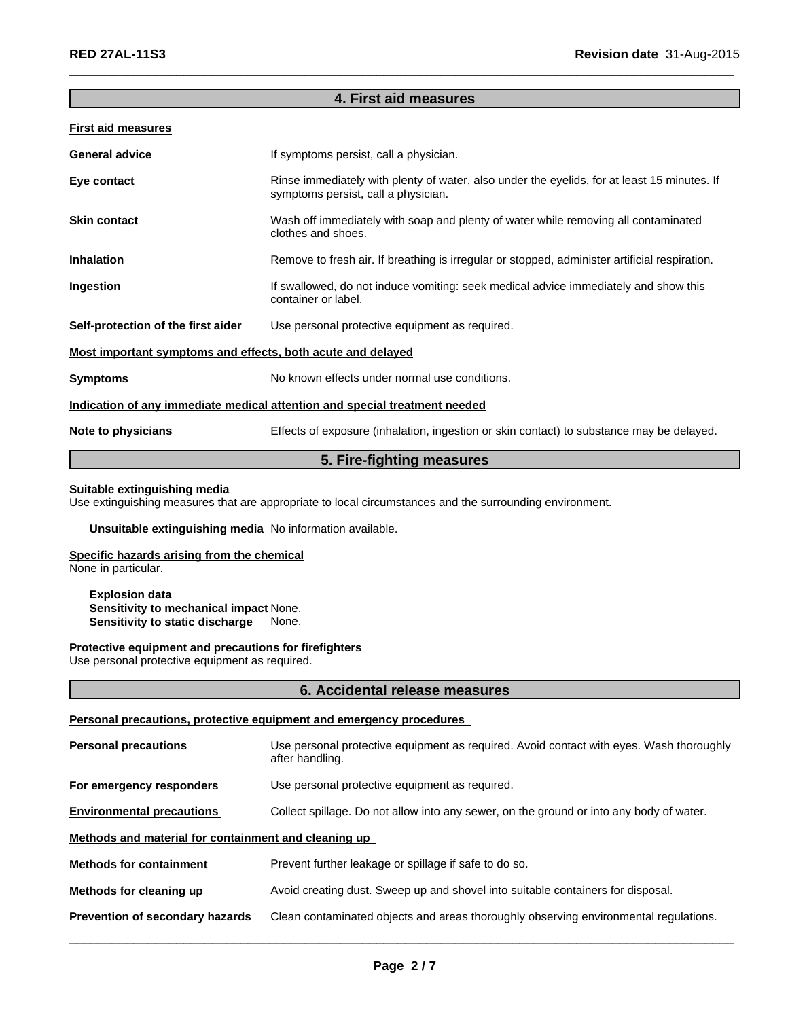## **4. First aid measures**

 $\overline{\phantom{a}}$  ,  $\overline{\phantom{a}}$  ,  $\overline{\phantom{a}}$  ,  $\overline{\phantom{a}}$  ,  $\overline{\phantom{a}}$  ,  $\overline{\phantom{a}}$  ,  $\overline{\phantom{a}}$  ,  $\overline{\phantom{a}}$  ,  $\overline{\phantom{a}}$  ,  $\overline{\phantom{a}}$  ,  $\overline{\phantom{a}}$  ,  $\overline{\phantom{a}}$  ,  $\overline{\phantom{a}}$  ,  $\overline{\phantom{a}}$  ,  $\overline{\phantom{a}}$  ,  $\overline{\phantom{a}}$ 

#### **First aid measures**

| <b>General advice</b>                                       | If symptoms persist, call a physician.                                                                                             |
|-------------------------------------------------------------|------------------------------------------------------------------------------------------------------------------------------------|
| Eye contact                                                 | Rinse immediately with plenty of water, also under the eyelids, for at least 15 minutes. If<br>symptoms persist, call a physician. |
| <b>Skin contact</b>                                         | Wash off immediately with soap and plenty of water while removing all contaminated<br>clothes and shoes.                           |
| <b>Inhalation</b>                                           | Remove to fresh air. If breathing is irregular or stopped, administer artificial respiration.                                      |
| Ingestion                                                   | If swallowed, do not induce vomiting: seek medical advice immediately and show this<br>container or label.                         |
| Self-protection of the first aider                          | Use personal protective equipment as required.                                                                                     |
| Most important symptoms and effects, both acute and delayed |                                                                                                                                    |
| <b>Symptoms</b>                                             | No known effects under normal use conditions.                                                                                      |
|                                                             | Indication of any immediate medical attention and special treatment needed                                                         |
| Note to physicians                                          | Effects of exposure (inhalation, ingestion or skin contact) to substance may be delayed.                                           |
|                                                             |                                                                                                                                    |

## **5. Fire-fighting measures**

#### **Suitable extinguishing media**

Use extinguishing measures that are appropriate to local circumstances and the surrounding environment.

#### **Unsuitable extinguishing media** No information available.

## **Specific hazards arising from the chemical**

None in particular.

#### **Explosion data Sensitivity to mechanical impact** None. **Sensitivity to static discharge** None.

#### **Protective equipment and precautions for firefighters**

Use personal protective equipment as required.

#### **6. Accidental release measures**

#### **Personal precautions, protective equipment and emergency procedures**

| <b>Personal precautions</b>                          | Use personal protective equipment as required. Avoid contact with eyes. Wash thoroughly<br>after handling. |  |
|------------------------------------------------------|------------------------------------------------------------------------------------------------------------|--|
| For emergency responders                             | Use personal protective equipment as required.                                                             |  |
| <b>Environmental precautions</b>                     | Collect spillage. Do not allow into any sewer, on the ground or into any body of water.                    |  |
| Methods and material for containment and cleaning up |                                                                                                            |  |
| <b>Methods for containment</b>                       | Prevent further leakage or spillage if safe to do so.                                                      |  |
| Methods for cleaning up                              | Avoid creating dust. Sweep up and shovel into suitable containers for disposal.                            |  |
| Prevention of secondary hazards                      | Clean contaminated objects and areas thoroughly observing environmental regulations.                       |  |
|                                                      |                                                                                                            |  |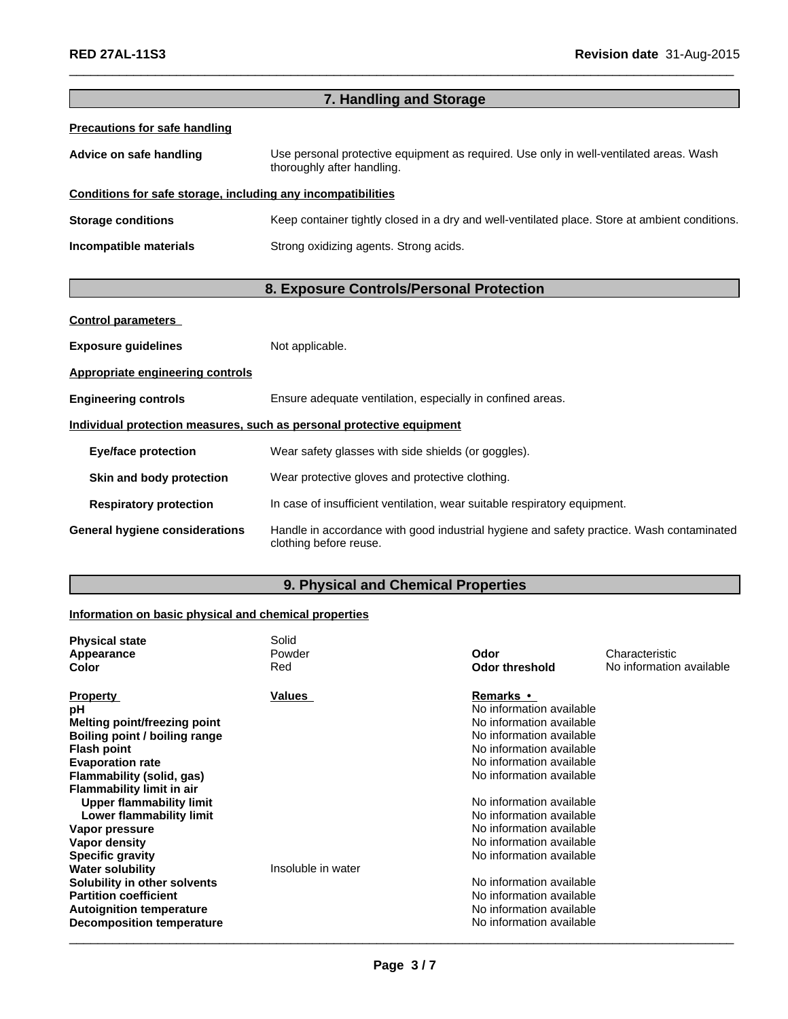|                                                              | 7. Handling and Storage                                                                                              |
|--------------------------------------------------------------|----------------------------------------------------------------------------------------------------------------------|
| <b>Precautions for safe handling</b>                         |                                                                                                                      |
| Advice on safe handling                                      | Use personal protective equipment as required. Use only in well-ventilated areas. Wash<br>thoroughly after handling. |
| Conditions for safe storage, including any incompatibilities |                                                                                                                      |
| <b>Storage conditions</b>                                    | Keep container tightly closed in a dry and well-ventilated place. Store at ambient conditions.                       |
| Incompatible materials                                       | Strong oxidizing agents. Strong acids.                                                                               |
|                                                              | 8. Exposure Controls/Personal Protection                                                                             |
| <b>Control parameters</b>                                    |                                                                                                                      |
| <b>Exposure guidelines</b>                                   | Not applicable.                                                                                                      |
| <b>Appropriate engineering controls</b>                      |                                                                                                                      |
| <b>Engineering controls</b>                                  | Ensure adequate ventilation, especially in confined areas.                                                           |
|                                                              | Individual protection measures, such as personal protective equipment                                                |
| <b>Eye/face protection</b>                                   | Wear safety glasses with side shields (or goggles).                                                                  |
| Skin and body protection                                     | Wear protective gloves and protective clothing.                                                                      |
| <b>Respiratory protection</b>                                | In case of insufficient ventilation, wear suitable respiratory equipment.                                            |
|                                                              |                                                                                                                      |

 $\_$  ,  $\_$  ,  $\_$  ,  $\_$  ,  $\_$  ,  $\_$  ,  $\_$  ,  $\_$  ,  $\_$  ,  $\_$  ,  $\_$  ,  $\_$  ,  $\_$  ,  $\_$  ,  $\_$  ,  $\_$  ,  $\_$  ,  $\_$  ,  $\_$  ,  $\_$  ,  $\_$  ,  $\_$  ,  $\_$  ,  $\_$  ,  $\_$  ,  $\_$  ,  $\_$  ,  $\_$  ,  $\_$  ,  $\_$  ,  $\_$  ,  $\_$  ,  $\_$  ,  $\_$  ,  $\_$  ,  $\_$  ,  $\_$  ,

**General hygiene considerations** Handle in accordance with good industrial hygiene and safety practice. Wash contaminated clothing before reuse.

## **9. Physical and Chemical Properties**

## **Information on basic physical and chemical properties**

| Powder<br>Red      | Odor<br>Odor threshold   | Characteristic           |
|--------------------|--------------------------|--------------------------|
|                    |                          |                          |
|                    |                          | No information available |
| Values             | <b>Remarks</b> •         |                          |
|                    | No information available |                          |
|                    | No information available |                          |
|                    | No information available |                          |
|                    | No information available |                          |
|                    | No information available |                          |
|                    | No information available |                          |
|                    |                          |                          |
|                    | No information available |                          |
|                    | No information available |                          |
|                    | No information available |                          |
|                    | No information available |                          |
|                    | No information available |                          |
| Insoluble in water |                          |                          |
|                    | No information available |                          |
|                    | No information available |                          |
|                    | No information available |                          |
|                    | No information available |                          |
|                    |                          |                          |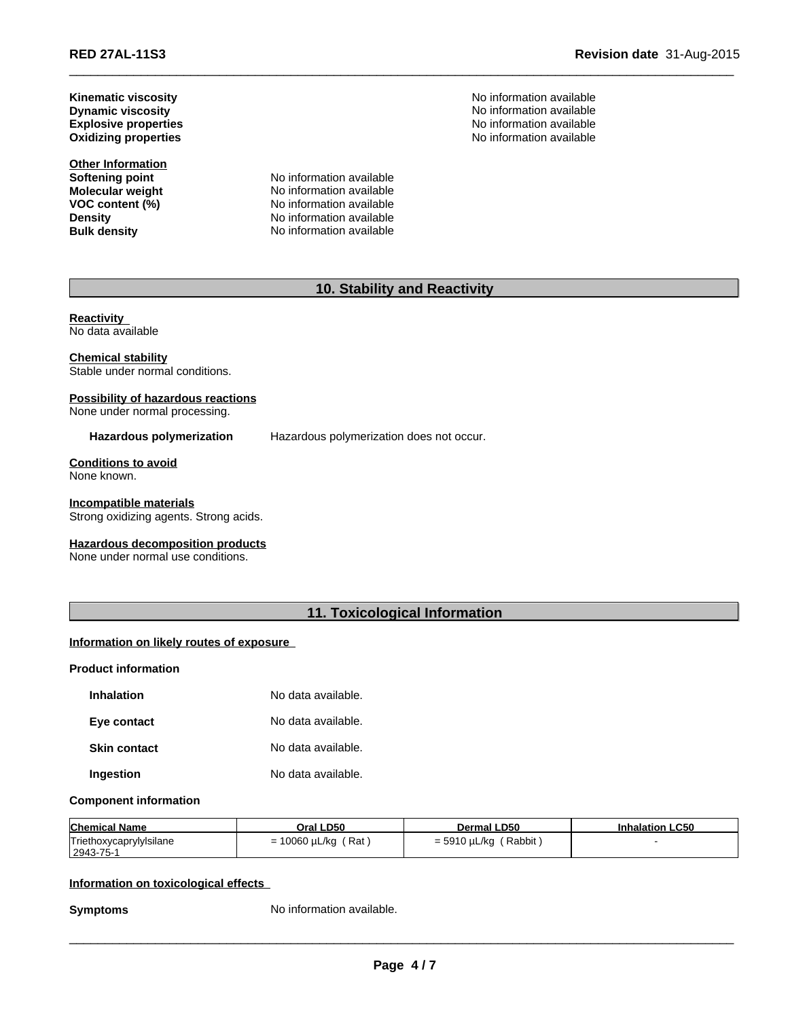**Revision date** 31-Aug-2015

**Oxidizing properties Dynamic viscosity Kinematic viscosity Explosive properties**

**Other Information**<br>**Softening point** 

**Softening point No information available**<br> **Molecular weight No information available Molecular weight** No information available<br> **VOC content (%)** No information available **No information available Density** No information available **Bulk density** No information available

No information available No information available No information available No information available

 $\_$  ,  $\_$  ,  $\_$  ,  $\_$  ,  $\_$  ,  $\_$  ,  $\_$  ,  $\_$  ,  $\_$  ,  $\_$  ,  $\_$  ,  $\_$  ,  $\_$  ,  $\_$  ,  $\_$  ,  $\_$  ,  $\_$  ,  $\_$  ,  $\_$  ,  $\_$  ,  $\_$  ,  $\_$  ,  $\_$  ,  $\_$  ,  $\_$  ,  $\_$  ,  $\_$  ,  $\_$  ,  $\_$  ,  $\_$  ,  $\_$  ,  $\_$  ,  $\_$  ,  $\_$  ,  $\_$  ,  $\_$  ,  $\_$  ,

## **10. Stability and Reactivity**

**Reactivity**  No data available

**Chemical stability** Stable under normal conditions.

# **Possibility of hazardous reactions**

None under normal processing.

**Hazardous polymerization** Hazardous polymerization does not occur.

**Conditions to avoid** None known.

**Incompatible materials** Strong oxidizing agents. Strong acids.

#### **Hazardous decomposition products**

None under normal use conditions.

## **11. Toxicological Information**

#### **Information on likely routes of exposure**

#### **Product information**

| Inhalation   | No data available. |
|--------------|--------------------|
| Eye contact  | No data available. |
| Skin contact | No data available. |
| Ingestion    | No data available. |

#### **Component information**

| <b>Chemical Name</b>    | Oral LD50            | <b>Dermal LD50</b> | <b>Inhalation LC50</b> |
|-------------------------|----------------------|--------------------|------------------------|
| Triethoxycaprylylsilane | ˈ Rat                | Rabbit             |                        |
| $ 2943 - 75 -$          | $= 10060 \mu L/kg$ ( | = 5910 µL/kg       |                        |

#### **Information on toxicological effects**

**Symptoms** No information available.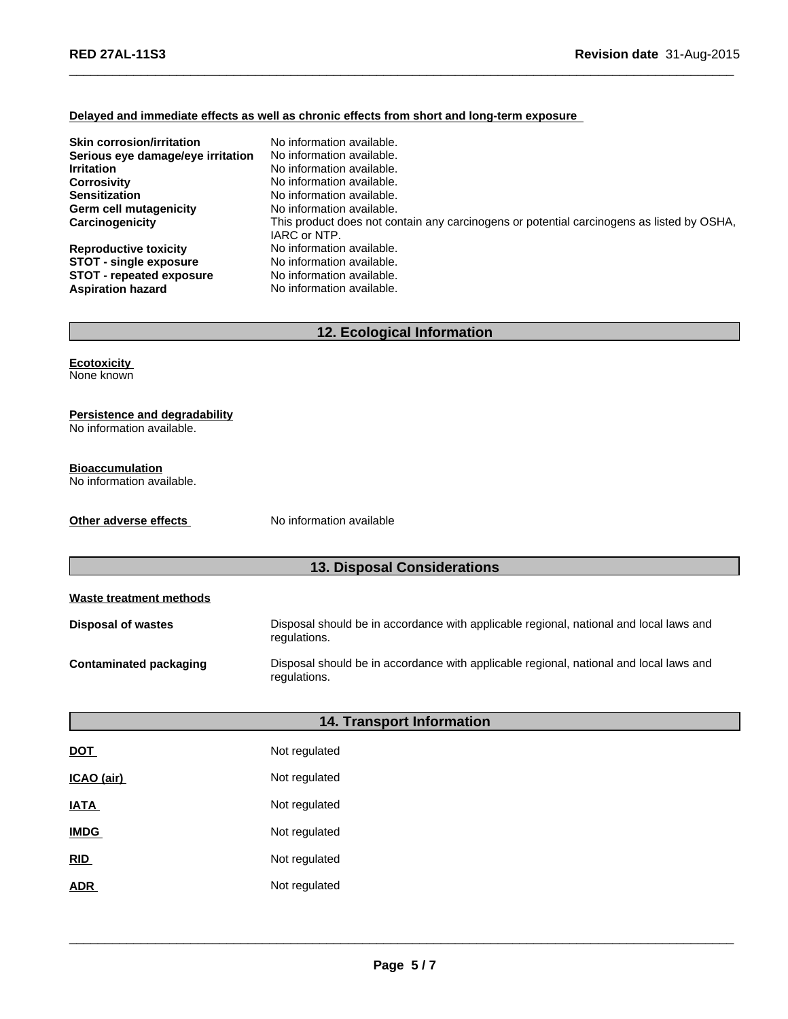#### **Delayed and immediate effects as well as chronic effects from short and long-term exposure**

| <b>Skin corrosion/irritation</b><br>Serious eye damage/eye irritation<br><b>Irritation</b> | No information available.<br>No information available.<br>No information available.                       |
|--------------------------------------------------------------------------------------------|-----------------------------------------------------------------------------------------------------------|
| <b>Corrosivity</b>                                                                         | No information available.                                                                                 |
| <b>Sensitization</b>                                                                       | No information available.                                                                                 |
| Germ cell mutagenicity                                                                     | No information available.                                                                                 |
| Carcinogenicity                                                                            | This product does not contain any carcinogens or potential carcinogens as listed by OSHA,<br>IARC or NTP. |
| <b>Reproductive toxicity</b>                                                               | No information available.                                                                                 |
| <b>STOT - single exposure</b>                                                              | No information available.                                                                                 |
| <b>STOT - repeated exposure</b><br><b>Aspiration hazard</b>                                | No information available.<br>No information available.                                                    |

 $\_$  ,  $\_$  ,  $\_$  ,  $\_$  ,  $\_$  ,  $\_$  ,  $\_$  ,  $\_$  ,  $\_$  ,  $\_$  ,  $\_$  ,  $\_$  ,  $\_$  ,  $\_$  ,  $\_$  ,  $\_$  ,  $\_$  ,  $\_$  ,  $\_$  ,  $\_$  ,  $\_$  ,  $\_$  ,  $\_$  ,  $\_$  ,  $\_$  ,  $\_$  ,  $\_$  ,  $\_$  ,  $\_$  ,  $\_$  ,  $\_$  ,  $\_$  ,  $\_$  ,  $\_$  ,  $\_$  ,  $\_$  ,  $\_$  ,

## **12. Ecological Information**

**Ecotoxicity**  None known

#### **Persistence and degradability**

No information available.

## **Bioaccumulation**

No information available.

**Other adverse effects** No information available

## **13. Disposal Considerations**

| Waste treatment methods          |                                                                                                        |  |
|----------------------------------|--------------------------------------------------------------------------------------------------------|--|
| <b>Disposal of wastes</b>        | Disposal should be in accordance with applicable regional, national and local laws and<br>regulations. |  |
| <b>Contaminated packaging</b>    | Disposal should be in accordance with applicable regional, national and local laws and<br>regulations. |  |
| <b>14. Transport Information</b> |                                                                                                        |  |
| <b>DOT</b>                       | Not regulated                                                                                          |  |
| ICAO (air)                       | Not regulated                                                                                          |  |
|                                  |                                                                                                        |  |

**IATA** Not regulated **IMDG** Not regulated

**RID** Not regulated

**ADR** Not regulated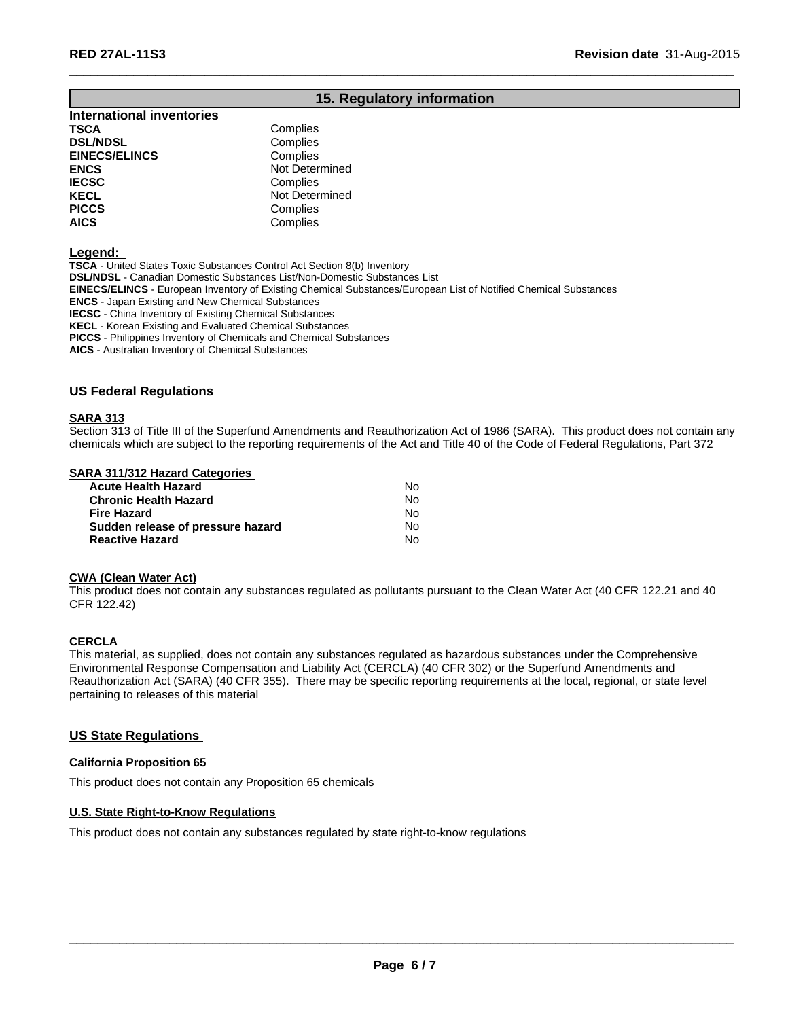## **15. Regulatory information**

 $\_$  ,  $\_$  ,  $\_$  ,  $\_$  ,  $\_$  ,  $\_$  ,  $\_$  ,  $\_$  ,  $\_$  ,  $\_$  ,  $\_$  ,  $\_$  ,  $\_$  ,  $\_$  ,  $\_$  ,  $\_$  ,  $\_$  ,  $\_$  ,  $\_$  ,  $\_$  ,  $\_$  ,  $\_$  ,  $\_$  ,  $\_$  ,  $\_$  ,  $\_$  ,  $\_$  ,  $\_$  ,  $\_$  ,  $\_$  ,  $\_$  ,  $\_$  ,  $\_$  ,  $\_$  ,  $\_$  ,  $\_$  ,  $\_$  ,

## **International inventories TSCA** Complies<br> **DSL/NDSL** Complies **DSL/NDSL**<br> **EINECS/ELINCS EINECS/ELINCS Complies EINECS/ELINCS ENCS** Not Determined **IECSC** Complies<br> **IECEL** Not Deter

**KECL Not Determined**<br> **PICCS** Complies **PICCS** Complies<br> **AICS** Complies **AICS** Complies

#### **Legend:**

**TSCA** - United States Toxic Substances Control Act Section 8(b) Inventory **DSL/NDSL** - Canadian Domestic Substances List/Non-Domestic Substances List **EINECS/ELINCS** - European Inventory of Existing Chemical Substances/European List of Notified Chemical Substances **ENCS** - Japan Existing and New Chemical Substances **IECSC** - China Inventory of Existing Chemical Substances **KECL** - Korean Existing and Evaluated Chemical Substances **PICCS** - Philippines Inventory of Chemicals and Chemical Substances

**AICS** - Australian Inventory of Chemical Substances

#### **US Federal Regulations**

#### **SARA 313**

Section 313 of Title III of the Superfund Amendments and Reauthorization Act of 1986 (SARA). This product does not contain any chemicals which are subject to the reporting requirements of the Act and Title 40 of the Code of Federal Regulations, Part 372

#### **SARA 311/312 Hazard Categories**

| <b>Acute Health Hazard</b>        | Nο |
|-----------------------------------|----|
| <b>Chronic Health Hazard</b>      | N٥ |
| <b>Fire Hazard</b>                | N٥ |
| Sudden release of pressure hazard | Nο |
| <b>Reactive Hazard</b>            | N٥ |

#### **CWA (Clean Water Act)**

This product does not contain any substances regulated as pollutants pursuant to the Clean Water Act (40 CFR 122.21 and 40 CFR 122.42)

#### **CERCLA**

This material, as supplied, does not contain any substances regulated as hazardous substances under the Comprehensive Environmental Response Compensation and Liability Act (CERCLA) (40 CFR 302) or the Superfund Amendments and Reauthorization Act (SARA) (40 CFR 355). There may be specific reporting requirements at the local, regional, or state level pertaining to releases of this material

#### **US State Regulations**

#### **California Proposition 65**

This product does not contain any Proposition 65 chemicals

#### **U.S. State Right-to-Know Regulations**

This product does not contain any substances regulated by state right-to-know regulations